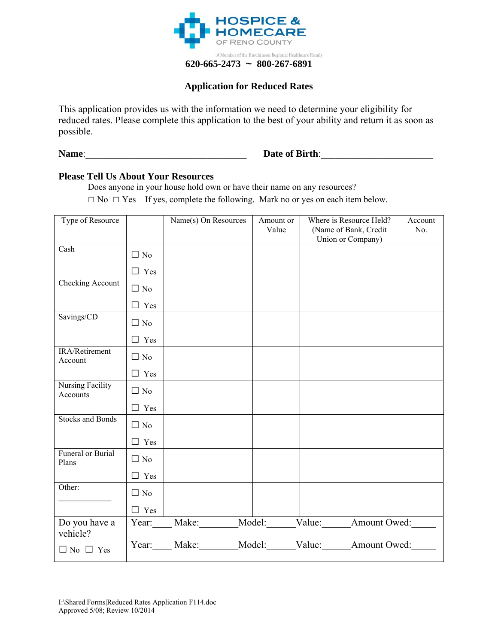

## **Application for Reduced Rates**

This application provides us with the information we need to determine your eligibility for reduced rates. Please complete this application to the best of your ability and return it as soon as possible.

**Name**:\_\_\_\_\_\_\_\_\_\_\_\_\_\_\_\_\_\_\_\_\_\_\_\_\_\_\_\_\_\_\_\_\_ **Date of Birth**:\_\_\_\_\_\_\_\_\_\_\_\_\_\_\_\_\_\_\_\_\_\_\_

## **Please Tell Us About Your Resources**

Does anyone in your house hold own or have their name on any resources?

□ No □ Yes If yes, complete the following. Mark no or yes on each item below.

| Type of Resource             |            | Name(s) On Resources | Amount or | Where is Resource Held?                | Account |
|------------------------------|------------|----------------------|-----------|----------------------------------------|---------|
|                              |            |                      | Value     | (Name of Bank, Credit                  | No.     |
|                              |            |                      |           | Union or Company)                      |         |
| Cash                         | $\Box$ No  |                      |           |                                        |         |
|                              | $\Box$ Yes |                      |           |                                        |         |
| Checking Account             | $\Box$ No  |                      |           |                                        |         |
|                              | $\Box$ Yes |                      |           |                                        |         |
| Savings/CD                   | $\Box$ No  |                      |           |                                        |         |
|                              | $\Box$ Yes |                      |           |                                        |         |
| IRA/Retirement<br>Account    | $\Box$ No  |                      |           |                                        |         |
|                              | $\Box$ Yes |                      |           |                                        |         |
| Nursing Facility<br>Accounts | $\Box$ No  |                      |           |                                        |         |
|                              | $\Box$ Yes |                      |           |                                        |         |
| <b>Stocks and Bonds</b>      | $\Box$ No  |                      |           |                                        |         |
|                              | $\Box$ Yes |                      |           |                                        |         |
| Funeral or Burial<br>Plans   | $\Box$ No  |                      |           |                                        |         |
|                              | $\Box$ Yes |                      |           |                                        |         |
| Other:                       | $\Box$ No  |                      |           |                                        |         |
|                              | $\Box$ Yes |                      |           |                                        |         |
| Do you have a<br>vehicle?    |            |                      |           | Year: Make: Model: Value: Amount Owed: |         |
| $\Box$ No $\Box$ Yes         |            |                      |           | Year: Make: Model: Value: Amount Owed: |         |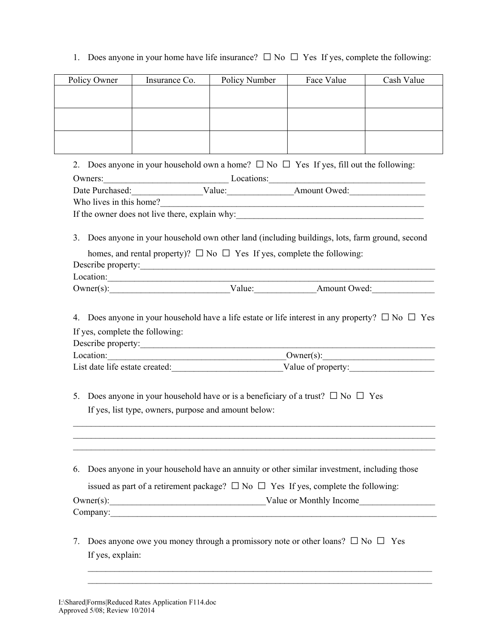1. Does anyone in your home have life insurance?  $\Box$  No  $\Box$  Yes If yes, complete the following:

| Policy Owner            | Insurance Co.                                        | Policy Number                                                                                                                                                                                                                  | Face Value | Cash Value |
|-------------------------|------------------------------------------------------|--------------------------------------------------------------------------------------------------------------------------------------------------------------------------------------------------------------------------------|------------|------------|
|                         |                                                      |                                                                                                                                                                                                                                |            |            |
|                         |                                                      |                                                                                                                                                                                                                                |            |            |
|                         |                                                      |                                                                                                                                                                                                                                |            |            |
|                         |                                                      |                                                                                                                                                                                                                                |            |            |
|                         |                                                      | 2. Does anyone in your household own a home? $\square$ No $\square$ Yes If yes, fill out the following:                                                                                                                        |            |            |
| Owners:                 |                                                      |                                                                                                                                                                                                                                |            |            |
|                         |                                                      | Owners: Locations: Locations: Locations: Locations: Locations: Locations: Locations: Locations: Locations: Locations: Locations: Locations: Locations: Locations: Locations: Locations: Locations: Locations: Locations: Locat |            |            |
| Who lives in this home? |                                                      | <u> 1989 - Jan James James James James James James James James James James James James James James James James J</u>                                                                                                           |            |            |
|                         |                                                      |                                                                                                                                                                                                                                |            |            |
|                         |                                                      |                                                                                                                                                                                                                                |            |            |
| 3.                      |                                                      | Does anyone in your household own other land (including buildings, lots, farm ground, second                                                                                                                                   |            |            |
|                         |                                                      | homes, and rental property)? $\Box$ No $\Box$ Yes If yes, complete the following:                                                                                                                                              |            |            |
|                         |                                                      | Describe property:                                                                                                                                                                                                             |            |            |
|                         |                                                      | Location:                                                                                                                                                                                                                      |            |            |
|                         |                                                      |                                                                                                                                                                                                                                |            |            |
|                         | Describe property:                                   |                                                                                                                                                                                                                                |            |            |
|                         |                                                      |                                                                                                                                                                                                                                |            |            |
|                         |                                                      | List date life estate created: Value of property:                                                                                                                                                                              |            |            |
| 5.                      | If yes, list type, owners, purpose and amount below: | Does anyone in your household have or is a beneficiary of a trust? $\square$ No $\square$ Yes                                                                                                                                  |            |            |
| 6.                      |                                                      | Does anyone in your household have an annuity or other similar investment, including those                                                                                                                                     |            |            |
|                         |                                                      | issued as part of a retirement package? $\Box$ No $\Box$ Yes If yes, complete the following:                                                                                                                                   |            |            |
|                         |                                                      | Owner(s): Value or Monthly Income                                                                                                                                                                                              |            |            |
|                         |                                                      | Company: Company:                                                                                                                                                                                                              |            |            |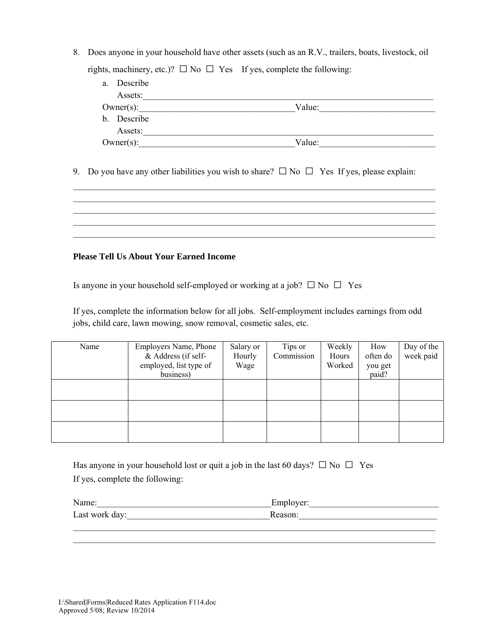8. Does anyone in your household have other assets (such as an R.V., trailers, boats, livestock, oil rights, machinery, etc.)?  $\square$  No  $\square$  Yes If yes, complete the following:

| Describe<br>a. |        |  |
|----------------|--------|--|
| Assets:        |        |  |
| $Owner(s)$ :   | Value: |  |
| b. Describe    |        |  |
| Assets:        |        |  |
| $Owner(s)$ :   | Value: |  |

9. Do you have any other liabilities you wish to share?  $\Box$  No  $\Box$  Yes If yes, please explain:

 $\mathcal{L}_\mathcal{L} = \{ \mathcal{L}_\mathcal{L} = \{ \mathcal{L}_\mathcal{L} = \{ \mathcal{L}_\mathcal{L} = \{ \mathcal{L}_\mathcal{L} = \{ \mathcal{L}_\mathcal{L} = \{ \mathcal{L}_\mathcal{L} = \{ \mathcal{L}_\mathcal{L} = \{ \mathcal{L}_\mathcal{L} = \{ \mathcal{L}_\mathcal{L} = \{ \mathcal{L}_\mathcal{L} = \{ \mathcal{L}_\mathcal{L} = \{ \mathcal{L}_\mathcal{L} = \{ \mathcal{L}_\mathcal{L} = \{ \mathcal{L}_\mathcal{$  $\mathcal{L}_\mathcal{L} = \{ \mathcal{L}_\mathcal{L} = \{ \mathcal{L}_\mathcal{L} = \{ \mathcal{L}_\mathcal{L} = \{ \mathcal{L}_\mathcal{L} = \{ \mathcal{L}_\mathcal{L} = \{ \mathcal{L}_\mathcal{L} = \{ \mathcal{L}_\mathcal{L} = \{ \mathcal{L}_\mathcal{L} = \{ \mathcal{L}_\mathcal{L} = \{ \mathcal{L}_\mathcal{L} = \{ \mathcal{L}_\mathcal{L} = \{ \mathcal{L}_\mathcal{L} = \{ \mathcal{L}_\mathcal{L} = \{ \mathcal{L}_\mathcal{$  $\mathcal{L}_\mathcal{L} = \{ \mathcal{L}_\mathcal{L} = \{ \mathcal{L}_\mathcal{L} = \{ \mathcal{L}_\mathcal{L} = \{ \mathcal{L}_\mathcal{L} = \{ \mathcal{L}_\mathcal{L} = \{ \mathcal{L}_\mathcal{L} = \{ \mathcal{L}_\mathcal{L} = \{ \mathcal{L}_\mathcal{L} = \{ \mathcal{L}_\mathcal{L} = \{ \mathcal{L}_\mathcal{L} = \{ \mathcal{L}_\mathcal{L} = \{ \mathcal{L}_\mathcal{L} = \{ \mathcal{L}_\mathcal{L} = \{ \mathcal{L}_\mathcal{$  $\mathcal{L}_\mathcal{L} = \{ \mathcal{L}_\mathcal{L} = \{ \mathcal{L}_\mathcal{L} = \{ \mathcal{L}_\mathcal{L} = \{ \mathcal{L}_\mathcal{L} = \{ \mathcal{L}_\mathcal{L} = \{ \mathcal{L}_\mathcal{L} = \{ \mathcal{L}_\mathcal{L} = \{ \mathcal{L}_\mathcal{L} = \{ \mathcal{L}_\mathcal{L} = \{ \mathcal{L}_\mathcal{L} = \{ \mathcal{L}_\mathcal{L} = \{ \mathcal{L}_\mathcal{L} = \{ \mathcal{L}_\mathcal{L} = \{ \mathcal{L}_\mathcal{$ 

## **Please Tell Us About Your Earned Income**

Is anyone in your household self-employed or working at a job?  $\square$  No  $\square$  Yes

If yes, complete the information below for all jobs. Self-employment includes earnings from odd jobs, child care, lawn mowing, snow removal, cosmetic sales, etc.

| Name | Employers Name, Phone<br>& Address (if self-<br>employed, list type of<br>business) | Salary or<br>Hourly<br>Wage | Tips or<br>Commission | Weekly<br>Hours<br>Worked | How<br>often do<br>you get<br>paid? | Day of the<br>week paid |
|------|-------------------------------------------------------------------------------------|-----------------------------|-----------------------|---------------------------|-------------------------------------|-------------------------|
|      |                                                                                     |                             |                       |                           |                                     |                         |
|      |                                                                                     |                             |                       |                           |                                     |                         |
|      |                                                                                     |                             |                       |                           |                                     |                         |

Has anyone in your household lost or quit a job in the last 60 days?  $\square$  No  $\square$  Yes If yes, complete the following:

| Name:          | Employer: |
|----------------|-----------|
| Last work day: | Reason:   |
|                |           |

 $\mathcal{L}_\mathcal{L} = \{ \mathcal{L}_\mathcal{L} = \{ \mathcal{L}_\mathcal{L} = \{ \mathcal{L}_\mathcal{L} = \{ \mathcal{L}_\mathcal{L} = \{ \mathcal{L}_\mathcal{L} = \{ \mathcal{L}_\mathcal{L} = \{ \mathcal{L}_\mathcal{L} = \{ \mathcal{L}_\mathcal{L} = \{ \mathcal{L}_\mathcal{L} = \{ \mathcal{L}_\mathcal{L} = \{ \mathcal{L}_\mathcal{L} = \{ \mathcal{L}_\mathcal{L} = \{ \mathcal{L}_\mathcal{L} = \{ \mathcal{L}_\mathcal{$